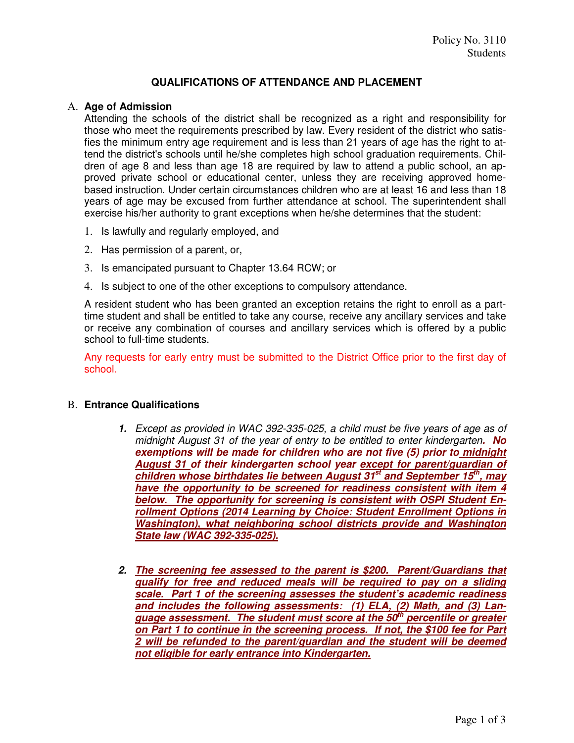# **QUALIFICATIONS OF ATTENDANCE AND PLACEMENT**

### A. **Age of Admission**

Attending the schools of the district shall be recognized as a right and responsibility for those who meet the requirements prescribed by law. Every resident of the district who satisfies the minimum entry age requirement and is less than 21 years of age has the right to attend the district's schools until he/she completes high school graduation requirements. Children of age 8 and less than age 18 are required by law to attend a public school, an approved private school or educational center, unless they are receiving approved homebased instruction. Under certain circumstances children who are at least 16 and less than 18 years of age may be excused from further attendance at school. The superintendent shall exercise his/her authority to grant exceptions when he/she determines that the student:

- 1. Is lawfully and regularly employed, and
- 2. Has permission of a parent, or,
- 3. Is emancipated pursuant to Chapter 13.64 RCW; or
- 4. Is subject to one of the other exceptions to compulsory attendance.

A resident student who has been granted an exception retains the right to enroll as a parttime student and shall be entitled to take any course, receive any ancillary services and take or receive any combination of courses and ancillary services which is offered by a public school to full-time students.

Any requests for early entry must be submitted to the District Office prior to the first day of school.

#### B. **Entrance Qualifications**

- **1.** Except as provided in WAC 392-335-025, a child must be five years of age as of midnight August 31 of the year of entry to be entitled to enter kindergarten**. No exemptions will be made for children who are not five (5) prior to midnight August 31 of their kindergarten school year except for parent/guardian of children whose birthdates lie between August 31st and September 15th, may have the opportunity to be screened for readiness consistent with item 4 below. The opportunity for screening is consistent with OSPI Student Enrollment Options (2014 Learning by Choice: Student Enrollment Options in Washington), what neighboring school districts provide and Washington State law (WAC 392-335-025).**
- **2. The screening fee assessed to the parent is \$200. Parent/Guardians that qualify for free and reduced meals will be required to pay on a sliding scale. Part 1 of the screening assesses the student's academic readiness and includes the following assessments: (1) ELA, (2) Math, and (3) Language assessment. The student must score at the 50th percentile or greater on Part 1 to continue in the screening process. If not, the \$100 fee for Part 2 will be refunded to the parent/guardian and the student will be deemed not eligible for early entrance into Kindergarten.**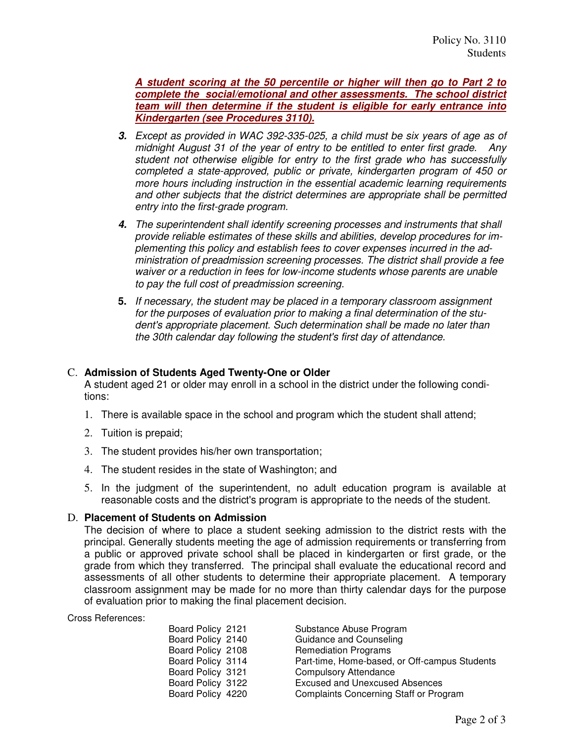**A student scoring at the 50 percentile or higher will then go to Part 2 to complete the social/emotional and other assessments. The school district team will then determine if the student is eligible for early entrance into Kindergarten (see Procedures 3110).** 

- **3.** Except as provided in WAC 392-335-025, a child must be six years of age as of midnight August 31 of the year of entry to be entitled to enter first grade. Any student not otherwise eligible for entry to the first grade who has successfully completed a state-approved, public or private, kindergarten program of 450 or more hours including instruction in the essential academic learning requirements and other subjects that the district determines are appropriate shall be permitted entry into the first-grade program.
- **4.** The superintendent shall identify screening processes and instruments that shall provide reliable estimates of these skills and abilities, develop procedures for implementing this policy and establish fees to cover expenses incurred in the administration of preadmission screening processes. The district shall provide a fee waiver or a reduction in fees for low-income students whose parents are unable to pay the full cost of preadmission screening.
- **5.** If necessary, the student may be placed in a temporary classroom assignment for the purposes of evaluation prior to making a final determination of the student's appropriate placement. Such determination shall be made no later than the 30th calendar day following the student's first day of attendance.

# C. **Admission of Students Aged Twenty-One or Older**

A student aged 21 or older may enroll in a school in the district under the following conditions:

- 1. There is available space in the school and program which the student shall attend;
- 2. Tuition is prepaid;
- 3. The student provides his/her own transportation;
- 4. The student resides in the state of Washington; and
- 5. In the judgment of the superintendent, no adult education program is available at reasonable costs and the district's program is appropriate to the needs of the student.

#### D. **Placement of Students on Admission**

The decision of where to place a student seeking admission to the district rests with the principal. Generally students meeting the age of admission requirements or transferring from a public or approved private school shall be placed in kindergarten or first grade, or the grade from which they transferred. The principal shall evaluate the educational record and assessments of all other students to determine their appropriate placement. A temporary classroom assignment may be made for no more than thirty calendar days for the purpose of evaluation prior to making the final placement decision.

Cross References:

| Board Policy 2121 | Substance Abuse Program                       |
|-------------------|-----------------------------------------------|
| Board Policy 2140 | Guidance and Counseling                       |
| Board Policy 2108 | <b>Remediation Programs</b>                   |
| Board Policy 3114 | Part-time, Home-based, or Off-campus Students |
| Board Policy 3121 | <b>Compulsory Attendance</b>                  |
| Board Policy 3122 | <b>Excused and Unexcused Absences</b>         |
| Board Policy 4220 | <b>Complaints Concerning Staff or Program</b> |
|                   |                                               |